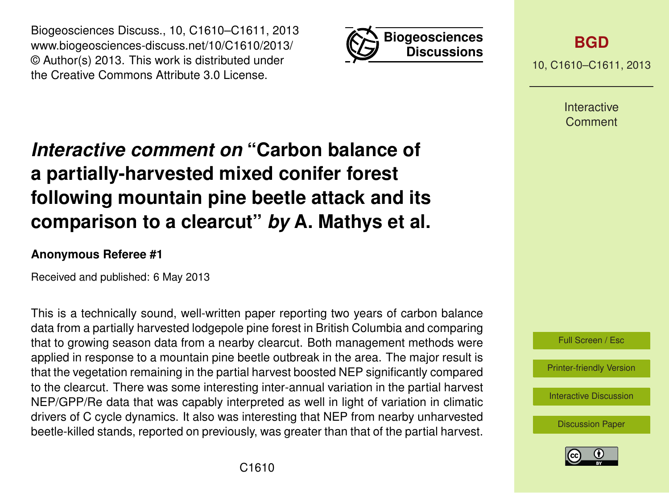Biogeosciences Discuss., 10, C1610–C1611, 2013 www.biogeosciences-discuss.net/10/C1610/2013/ © Author(s) 2013. This work is distributed under the Creative Commons Attribute 3.0 License.



**[BGD](http://www.biogeosciences-discuss.net)**

10, C1610–C1611, 2013

Interactive Comment

## *Interactive comment on* **"Carbon balance of a partially-harvested mixed conifer forest following mountain pine beetle attack and its comparison to a clearcut"** *by* **A. Mathys et al.**

## **Anonymous Referee #1**

Received and published: 6 May 2013

This is a technically sound, well-written paper reporting two years of carbon balance data from a partially harvested lodgepole pine forest in British Columbia and comparing that to growing season data from a nearby clearcut. Both management methods were applied in response to a mountain pine beetle outbreak in the area. The major result is that the vegetation remaining in the partial harvest boosted NEP significantly compared to the clearcut. There was some interesting inter-annual variation in the partial harvest NEP/GPP/Re data that was capably interpreted as well in light of variation in climatic drivers of C cycle dynamics. It also was interesting that NEP from nearby unharvested beetle-killed stands, reported on previously, was greater than that of the partial harvest.